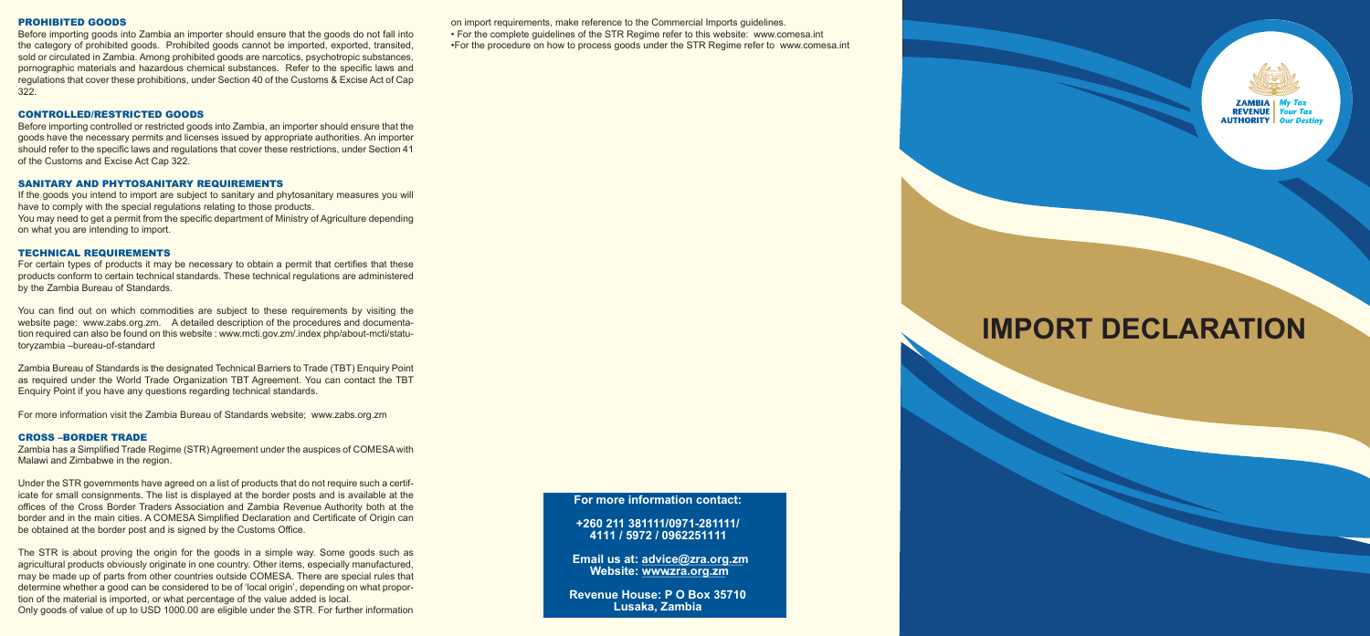#### PROHIBITED GOODS

Before importing goods into Zambia an importer should ensure that the goods do not fall into the category of prohibited goods. Prohibited goods cannot be imported, exported, transited, sold or circulated in Zambia. Among prohibited goods are narcotics, psychotropic substances, pornographic materials and hazardous chemical substances. Refer to the specific laws and regulations that cover these prohibitions, under Section 40 of the Customs & Excise Act of Cap 322.

#### CONTROLLED/RESTRICTED GOODS

Before importing controlled or restricted goods into Zambia, an importer should ensure that the goods have the necessary permits and licenses issued by appropriate authorities. An importer should refer to the specific laws and regulations that cover these restrictions, under Section 41 of the Customs and Excise Act Cap 322.

#### SANITARY AND PHYTOSANITARY REQUIREMENTS

If the goods you intend to import are subject to sanitary and phytosanitary measures you will have to comply with the special regulations relating to those products. You may need to get a permit from the specific department of Ministry of Agriculture depending on what you are intending to import.

#### TECHNICAL REQUIREMENTS

For certain types of products it may be necessary to obtain a permit that certifies that these products conform to certain technical standards. These technical regulations are administered by the Zambia Bureau of Standards.

You can find out on which commodities are subject to these requirements by visiting the website page: www.zabs.org.zm. A detailed description of the procedures and documentation required can also be found on this website : www.mcti.gov.zm/.index php/about-mcti/statutoryzambia –bureau-of-standard

Zambia Bureau of Standards is the designated Technical Barriers to Trade (TBT) Enquiry Point as required under the World Trade Organization TBT Agreement. You can contact the TBT Enquiry Point if you have any questions regarding technical standards.

For more information visit the Zambia Bureau of Standards website; www.zabs.org.zm

#### CROSS –BORDER TRADE

Zambia has a Simplified Trade Regime (STR) Agreement under the auspices of COMESA with Malawi and Zimbabwe in the region.

Under the STR governments have agreed on a list of products that do not require such a certificate for small consignments. The list is displayed at the border posts and is available at the offices of the Cross Border Traders Association and Zambia Revenue Authority both at the border and in the main cities. A COMESA Simplified Declaration and Certificate of Origin can be obtained at the border post and is signed by the Customs Office.

The STR is about proving the origin for the goods in a simple way. Some goods such as agricultural products obviously originate in one country. Other items, especially manufactured, may be made up of parts from other countries outside COMESA. There are special rules that determine whether a good can be considered to be of 'local origin', depending on what proportion of the material is imported, or what percentage of the value added is local. Only goods of value of up to USD 1000.00 are eligible under the STR. For further information on import requirements, make reference to the Commercial Imports guidelines.

• For the complete guidelines of the STR Regime refer to this website: www.comesa.int

•For the procedure on how to process goods under the STR Regime refer to www.comesa.int

# **IMPORT DECLARATION**

**For more information contact:**

**+260 211 381111/0971-281111/ 4111 / 5972 / 0962251111**

**Email us at: advice@zra.org.zm Website: www.zra.org.zm**

**Revenue House: P O Box 35710 Lusaka, Zambia**